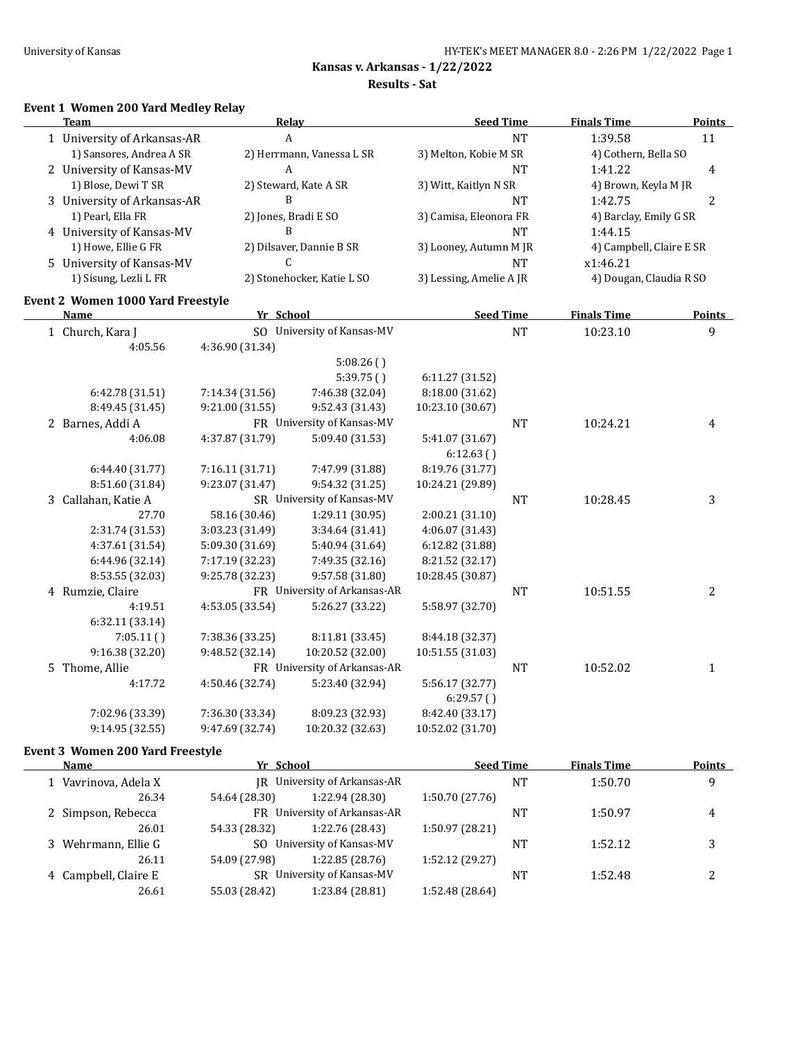#### **Results - Sat**

# **Event 1 Women 200 Yard Medley Relay**

| Team                               |                                    | <b>Relay</b>                       | <b>Seed Time</b>                    |           | <b>Finals Time</b>       | <b>Points</b>  |
|------------------------------------|------------------------------------|------------------------------------|-------------------------------------|-----------|--------------------------|----------------|
| 1 University of Arkansas-AR        | A                                  |                                    |                                     | <b>NT</b> | 1:39.58                  | 11             |
| 1) Sansores, Andrea A SR           |                                    | 2) Herrmann, Vanessa L SR          | 3) Melton, Kobie M SR               |           | 4) Cothern, Bella SO     |                |
| 2 University of Kansas-MV          | A                                  |                                    |                                     | <b>NT</b> | 1:41.22                  | 4              |
| 1) Blose, Dewi T SR                |                                    | 2) Steward, Kate A SR              | 3) Witt, Kaitlyn N SR               |           | 4) Brown, Keyla M JR     |                |
| 3 University of Arkansas-AR        | B                                  |                                    |                                     | <b>NT</b> | 1:42.75                  | $\overline{2}$ |
| 1) Pearl, Ella FR                  |                                    | 2) Jones, Bradi E SO               | 3) Camisa, Eleonora FR              |           | 4) Barclay, Emily G SR   |                |
| 4 University of Kansas-MV          | B                                  |                                    |                                     | <b>NT</b> | 1:44.15                  |                |
| 1) Howe, Ellie G FR                |                                    | 2) Dilsaver, Dannie B SR           | 3) Looney, Autumn M JR              |           | 4) Campbell, Claire E SR |                |
| 5 University of Kansas-MV          | C                                  |                                    |                                     | <b>NT</b> | x1:46.21                 |                |
| 1) Sisung, Lezli L FR              |                                    | 2) Stonehocker, Katie L SO         | 3) Lessing, Amelie A JR             |           | 4) Dougan, Claudia R SO  |                |
| Event 2 Women 1000 Yard Freestyle  |                                    |                                    |                                     |           |                          |                |
| Name                               | Yr School                          |                                    | <b>Seed Time</b>                    |           | <b>Finals Time</b>       | Points         |
| 1 Church, Kara J                   |                                    | SO University of Kansas-MV         |                                     | $\rm{NT}$ | 10:23.10                 | 9              |
| 4:05.56                            | 4:36.90 (31.34)                    |                                    |                                     |           |                          |                |
|                                    |                                    | 5:08.26()                          |                                     |           |                          |                |
|                                    |                                    | 5:39.75()                          | 6:11.27 (31.52)                     |           |                          |                |
| 6:42.78 (31.51)                    | 7:14.34 (31.56)                    | 7:46.38 (32.04)                    | 8:18.00 (31.62)                     |           |                          |                |
| 8:49.45 (31.45)                    | 9:21.00 (31.55)                    | 9:52.43 (31.43)                    | 10:23.10 (30.67)                    |           |                          |                |
| 2 Barnes, Addi A                   |                                    | FR University of Kansas-MV         |                                     | <b>NT</b> | 10:24.21                 | 4              |
| 4:06.08                            | 4:37.87 (31.79)                    | 5:09.40 (31.53)                    | 5:41.07 (31.67)                     |           |                          |                |
|                                    |                                    |                                    | 6:12.63()                           |           |                          |                |
| 6:44.40 (31.77)                    | 7:16.11 (31.71)                    | 7:47.99 (31.88)                    | 8:19.76 (31.77)                     |           |                          |                |
| 8:51.60 (31.84)                    | 9:23.07 (31.47)                    | 9:54.32 (31.25)                    | 10:24.21 (29.89)                    |           |                          |                |
| 3 Callahan, Katie A                |                                    | SR University of Kansas-MV         |                                     | <b>NT</b> | 10:28.45                 | 3              |
| 27.70                              | 58.16 (30.46)                      | 1:29.11 (30.95)                    | 2:00.21(31.10)                      |           |                          |                |
| 2:31.74 (31.53)                    | 3:03.23 (31.49)                    | 3:34.64 (31.41)                    | 4:06.07 (31.43)                     |           |                          |                |
| 4:37.61 (31.54)                    | 5:09.30 (31.69)                    | 5:40.94 (31.64)                    | 6:12.82 (31.88)                     |           |                          |                |
| 6:44.96 (32.14)<br>8:53.55 (32.03) | 7:17.19 (32.23)<br>9:25.78 (32.23) | 7:49.35 (32.16)<br>9:57.58 (31.80) | 8:21.52 (32.17)<br>10:28.45 (30.87) |           |                          |                |
| 4 Rumzie, Claire                   |                                    | FR University of Arkansas-AR       |                                     | <b>NT</b> | 10:51.55                 | $\overline{2}$ |
| 4:19.51                            | 4:53.05 (33.54)                    | 5:26.27 (33.22)                    | 5:58.97 (32.70)                     |           |                          |                |
| 6:32.11 (33.14)                    |                                    |                                    |                                     |           |                          |                |
| 7:05.11()                          | 7:38.36 (33.25)                    | 8:11.81 (33.45)                    | 8:44.18 (32.37)                     |           |                          |                |
| 9:16.38 (32.20)                    | 9:48.52 (32.14)                    | 10:20.52 (32.00)                   | 10:51.55 (31.03)                    |           |                          |                |
| 5 Thome, Allie                     |                                    | FR University of Arkansas-AR       |                                     | <b>NT</b> | 10:52.02                 | $\mathbf{1}$   |
| 4:17.72                            | 4:50.46 (32.74)                    | 5:23.40 (32.94)                    | 5:56.17 (32.77)                     |           |                          |                |
|                                    |                                    |                                    | 6:29.57()                           |           |                          |                |
| 7:02.96 (33.39)                    | 7:36.30 (33.34)                    | 8:09.23 (32.93)                    | 8:42.40 (33.17)                     |           |                          |                |
| 9:14.95 (32.55)                    | 9:47.69 (32.74)                    | 10:20.32 (32.63)                   | 10:52.02 (31.70)                    |           |                          |                |
|                                    |                                    |                                    |                                     |           |                          |                |

### **Event 3 Women 200 Yard Freestyle**

| Name                 | Yr School     |                              | <b>Seed Time</b> |    | <b>Finals Time</b> | <b>Points</b> |
|----------------------|---------------|------------------------------|------------------|----|--------------------|---------------|
| 1 Vavrinova, Adela X |               | IR University of Arkansas-AR | NT<br>1:50.70    |    | 9                  |               |
| 26.34                | 54.64 (28.30) | 1:22.94 (28.30)              | 1:50.70 (27.76)  |    |                    |               |
| 2 Simpson, Rebecca   |               | FR University of Arkansas-AR |                  | NT | 1:50.97            | 4             |
| 26.01                | 54.33 (28.32) | 1:22.76 (28.43)              | 1:50.97 (28.21)  |    |                    |               |
| 3 Wehrmann, Ellie G  |               | SO University of Kansas-MV   |                  | NT | 1:52.12            | 3             |
| 26.11                | 54.09 (27.98) | 1:22.85(28.76)               | 1:52.12 (29.27)  |    |                    |               |
| 4 Campbell, Claire E |               | SR University of Kansas-MV   |                  | NT | 1:52.48            |               |
| 26.61                | 55.03 (28.42) | 1:23.84 (28.81)              | 1:52.48 (28.64)  |    |                    |               |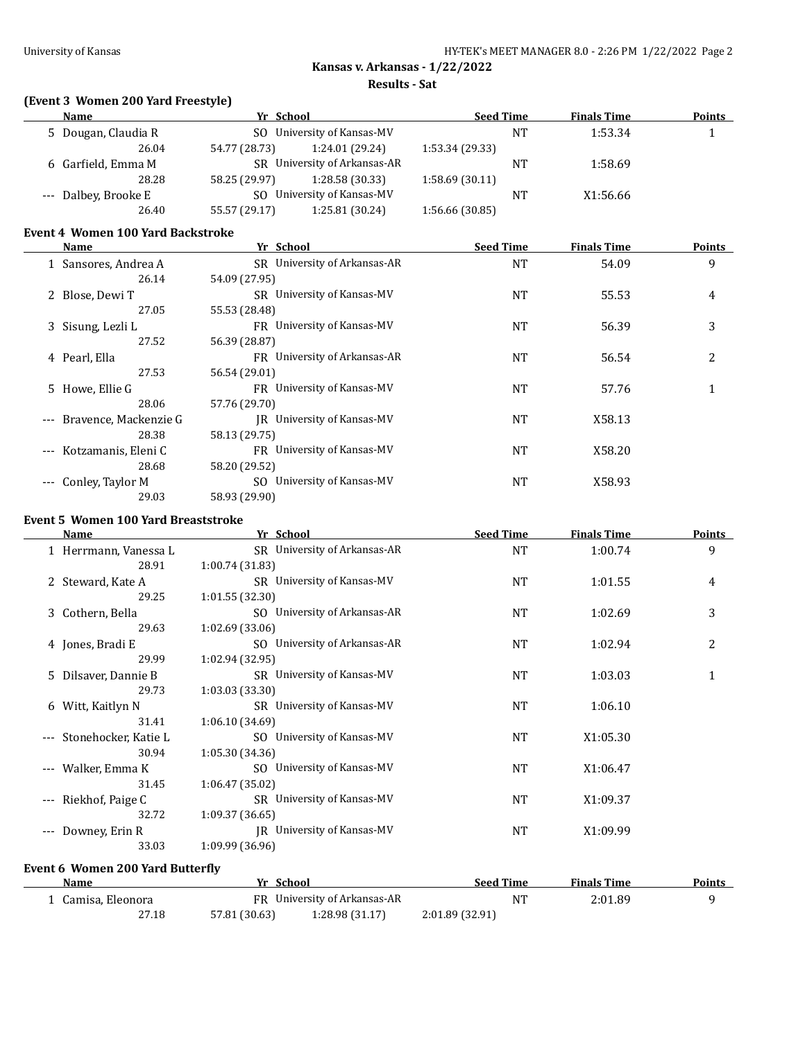**Results - Sat**

## **(Event 3 Women 200 Yard Freestyle)**

| Name                 | Yr School     |                              | <b>Seed Time</b> |    | <b>Finals Time</b> | <b>Points</b> |
|----------------------|---------------|------------------------------|------------------|----|--------------------|---------------|
| 5 Dougan, Claudia R  |               | SO University of Kansas-MV   | 1:53.34<br>NT    |    |                    |               |
| 26.04                | 54.77 (28.73) | 1:24.01 (29.24)              | 1:53.34 (29.33)  |    |                    |               |
| 6 Garfield, Emma M   |               | SR University of Arkansas-AR |                  | NT | 1:58.69            |               |
| 28.28                | 58.25 (29.97) | 1:28.58 (30.33)              | 1:58.69(30.11)   |    |                    |               |
| --- Dalbey, Brooke E |               | SO University of Kansas-MV   |                  | NT | X1:56.66           |               |
| 26.40                | 55.57 (29.17) | 1:25.81 (30.24)              | 1:56.66 (30.85)  |    |                    |               |
|                      |               |                              |                  |    |                    |               |

#### **Event 4 Women 100 Yard Backstroke**

|       | Name                      | Yr School                         | <b>Seed Time</b> | Finals Time | <b>Points</b> |
|-------|---------------------------|-----------------------------------|------------------|-------------|---------------|
|       | 1 Sansores, Andrea A      | SR University of Arkansas-AR      | <b>NT</b>        | 54.09       | 9             |
|       | 26.14                     | 54.09 (27.95)                     |                  |             |               |
|       | 2 Blose, Dewi T           | SR University of Kansas-MV        | <b>NT</b>        | 55.53       | 4             |
|       | 27.05                     | 55.53 (28.48)                     |                  |             |               |
|       | 3 Sisung, Lezli L         | FR University of Kansas-MV        | <b>NT</b>        | 56.39       | 3             |
|       | 27.52                     | 56.39 (28.87)                     |                  |             |               |
|       | 4 Pearl, Ella             | FR University of Arkansas-AR      | <b>NT</b>        | 56.54       | 2             |
|       | 27.53                     | 56.54 (29.01)                     |                  |             |               |
|       | 5 Howe, Ellie G           | FR University of Kansas-MV        | <b>NT</b>        | 57.76       |               |
|       | 28.06                     | 57.76 (29.70)                     |                  |             |               |
|       | --- Bravence, Mackenzie G | <b>IR</b> University of Kansas-MV | <b>NT</b>        | X58.13      |               |
|       | 28.38                     | 58.13 (29.75)                     |                  |             |               |
| $---$ | Kotzamanis, Eleni C       | FR University of Kansas-MV        | <b>NT</b>        | X58.20      |               |
|       | 28.68                     | 58.20 (29.52)                     |                  |             |               |
|       | --- Conley, Taylor M      | SO University of Kansas-MV        | <b>NT</b>        | X58.93      |               |
|       | 29.03                     | 58.93 (29.90)                     |                  |             |               |

#### **Event 5 Women 100 Yard Breaststroke**

| <b>Name</b>                                                  | Yr School                    | <b>Seed Time</b> | <b>Finals Time</b> | Points |
|--------------------------------------------------------------|------------------------------|------------------|--------------------|--------|
| 1 Herrmann, Vanessa L                                        | SR University of Arkansas-AR | <b>NT</b>        | 1:00.74            | 9      |
| 28.91                                                        | 1:00.74 (31.83)              |                  |                    |        |
| 2 Steward, Kate A                                            | SR University of Kansas-MV   | <b>NT</b>        | 1:01.55            | 4      |
| 29.25                                                        | 1:01.55 (32.30)              |                  |                    |        |
| 3 Cothern, Bella                                             | SO University of Arkansas-AR | <b>NT</b>        | 1:02.69            | 3      |
| 29.63                                                        | 1:02.69(33.06)               |                  |                    |        |
| 4 Jones, Bradi E                                             | SO University of Arkansas-AR | <b>NT</b>        | 1:02.94            | 2      |
| 29.99                                                        | 1:02.94 (32.95)              |                  |                    |        |
| 5 Dilsaver, Dannie B                                         | SR University of Kansas-MV   | NT               | 1:03.03            | 1      |
| 29.73                                                        | 1:03.03(33.30)               |                  |                    |        |
| 6 Witt, Kaitlyn N                                            | SR University of Kansas-MV   | NT               | 1:06.10            |        |
| 31.41                                                        | 1:06.10(34.69)               |                  |                    |        |
| Stonehocker, Katie L                                         | SO University of Kansas-MV   | <b>NT</b>        | X1:05.30           |        |
| 30.94                                                        | 1:05.30(34.36)               |                  |                    |        |
| Walker, Emma K<br>$\qquad \qquad - -$                        | SO University of Kansas-MV   | NT               | X1:06.47           |        |
| 31.45                                                        | 1:06.47(35.02)               |                  |                    |        |
| Riekhof, Paige C<br>$\hspace{0.05cm} \ldots \hspace{0.05cm}$ | SR University of Kansas-MV   | NT               | X1:09.37           |        |
| 32.72                                                        | 1:09.37 (36.65)              |                  |                    |        |
| Downey, Erin R<br>$---$                                      | JR University of Kansas-MV   | <b>NT</b>        | X1:09.99           |        |
| 33.03                                                        | 1:09.99 (36.96)              |                  |                    |        |
| <b>Event 6 Women 200 Yard Butterfly</b>                      |                              |                  |                    |        |
| Name                                                         | Yr School                    | <b>Seed Time</b> | <b>Finals Time</b> | Points |
| 1 Camisa, Eleonora                                           | FR University of Arkansas-AR | <b>NT</b>        | 2:01.89            | 9      |

| 1 Camisa, Eleonora | FR University of Arkansas-AR |                 |                 | ИT. | 2:01.89 |
|--------------------|------------------------------|-----------------|-----------------|-----|---------|
| 27.18              | 57.81 (30.63)                | 1:28.98 (31.17) | 2:01.89 (32.91) |     |         |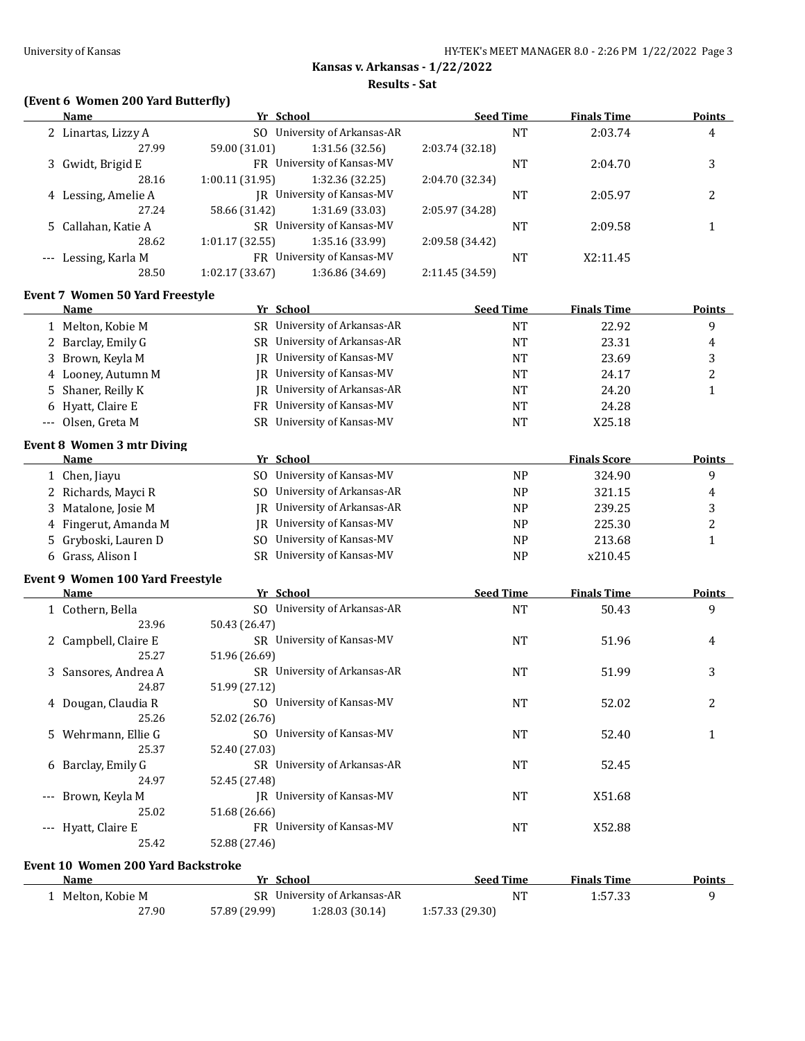**Results - Sat**

# **(Event 6 Women 200 Yard Butterfly)**

|          | <b>Name</b>                            | Yr School                          | <b>Seed Time</b> | <b>Finals Time</b>  | <b>Points</b> |
|----------|----------------------------------------|------------------------------------|------------------|---------------------|---------------|
|          | 2 Linartas, Lizzy A                    | SO University of Arkansas-AR       | <b>NT</b>        | 2:03.74             | 4             |
|          | 27.99                                  | 59.00 (31.01)<br>1:31.56 (32.56)   | 2:03.74 (32.18)  |                     |               |
|          | 3 Gwidt, Brigid E                      | FR University of Kansas-MV         | NT               | 2:04.70             | 3             |
|          | 28.16                                  | 1:00.11 (31.95)<br>1:32.36 (32.25) | 2:04.70 (32.34)  |                     |               |
|          | 4 Lessing, Amelie A                    | JR University of Kansas-MV         | NT               | 2:05.97             | 2             |
|          | 27.24                                  | 58.66 (31.42)<br>1:31.69 (33.03)   | 2:05.97 (34.28)  |                     |               |
|          | 5 Callahan, Katie A                    | SR University of Kansas-MV         | NT               | 2:09.58             | 1             |
|          | 28.62                                  | 1:01.17 (32.55)<br>1:35.16 (33.99) | 2:09.58 (34.42)  |                     |               |
|          | --- Lessing, Karla M                   | FR University of Kansas-MV         | NT               | X2:11.45            |               |
|          | 28.50                                  | 1:02.17 (33.67)<br>1:36.86 (34.69) | 2:11.45 (34.59)  |                     |               |
|          | <b>Event 7 Women 50 Yard Freestyle</b> |                                    |                  |                     |               |
|          | Name                                   | Yr School                          | <b>Seed Time</b> | <b>Finals Time</b>  | <b>Points</b> |
|          | 1 Melton, Kobie M                      | SR University of Arkansas-AR       | <b>NT</b>        | 22.92               | 9             |
|          | 2 Barclay, Emily G                     | SR University of Arkansas-AR       | NT               | 23.31               | 4             |
| 3.       | Brown, Keyla M                         | JR University of Kansas-MV         | <b>NT</b>        | 23.69               | 3             |
|          | 4 Looney, Autumn M                     | JR University of Kansas-MV         | NT               | 24.17               | 2             |
|          |                                        | JR University of Arkansas-AR       |                  | 24.20               |               |
| 5.       | Shaner, Reilly K                       |                                    | NT               |                     | $\mathbf{1}$  |
|          | 6 Hyatt, Claire E                      | FR University of Kansas-MV         | NT               | 24.28               |               |
| $\cdots$ | Olsen, Greta M                         | SR University of Kansas-MV         | NT               | X25.18              |               |
|          | <b>Event 8 Women 3 mtr Diving</b>      |                                    |                  |                     |               |
|          | Name                                   | Yr School                          |                  | <b>Finals Score</b> | <b>Points</b> |
|          | 1 Chen, Jiayu                          | SO University of Kansas-MV         | <b>NP</b>        | 324.90              | 9             |
| 2        | Richards, Mayci R                      | University of Arkansas-AR<br>SO.   | <b>NP</b>        | 321.15              | 4             |
| 3        | Matalone, Josie M                      | JR University of Arkansas-AR       | N <sub>P</sub>   | 239.25              | 3             |
| 4        | Fingerut, Amanda M                     | JR University of Kansas-MV         | NP               | 225.30              | 2             |
| 5        | Gryboski, Lauren D                     | University of Kansas-MV<br>SO.     | NP               | 213.68              | $\mathbf{1}$  |
|          | 6 Grass, Alison I                      | SR University of Kansas-MV         | NP               | x210.45             |               |
|          | Event 9 Women 100 Yard Freestyle       |                                    |                  |                     |               |
|          | Name                                   | Yr School                          | <b>Seed Time</b> | <b>Finals Time</b>  | <b>Points</b> |
|          | 1 Cothern, Bella                       | SO University of Arkansas-AR       | <b>NT</b>        | 50.43               | 9             |
|          | 23.96                                  | 50.43 (26.47)                      |                  |                     |               |
|          | 2 Campbell, Claire E                   | SR University of Kansas-MV         | NT               | 51.96               | 4             |
|          | 25.27                                  | 51.96 (26.69)                      |                  |                     |               |
|          | 3 Sansores, Andrea A                   | SR University of Arkansas-AR       | <b>NT</b>        | 51.99               | 3             |
|          | 24.87                                  | 51.99 (27.12)                      |                  |                     |               |
|          | 4 Dougan, Claudia R                    | SO University of Kansas-MV         | NT               | 52.02               | 2             |
|          | 25.26                                  | 52.02 (26.76)                      |                  |                     |               |
|          | 5 Wehrmann, Ellie G                    | SO University of Kansas-MV         | NT               | 52.40               | 1             |
|          | 25.37                                  | 52.40 (27.03)                      |                  |                     |               |
|          | 6 Barclay, Emily G                     | SR University of Arkansas-AR       | NT               | 52.45               |               |
|          | 24.97                                  | 52.45 (27.48)                      |                  |                     |               |
|          | --- Brown, Keyla M                     | JR University of Kansas-MV         | NT               | X51.68              |               |
|          | 25.02                                  | 51.68 (26.66)                      |                  |                     |               |
|          | --- Hyatt, Claire E                    | FR University of Kansas-MV         | <b>NT</b>        | X52.88              |               |
|          | 25.42                                  | 52.88 (27.46)                      |                  |                     |               |
|          | Event 10 Women 200 Yard Backstroke     |                                    |                  |                     |               |
|          | Name                                   | Yr School                          | <b>Seed Time</b> | <b>Finals Time</b>  | <b>Points</b> |
|          | 1 Melton, Kobie M                      | SR University of Arkansas-AR       | <b>NT</b>        | 1:57.33             | 9             |
|          | 27.90                                  | 57.89 (29.99)<br>1:28.03 (30.14)   | 1:57.33 (29.30)  |                     |               |
|          |                                        |                                    |                  |                     |               |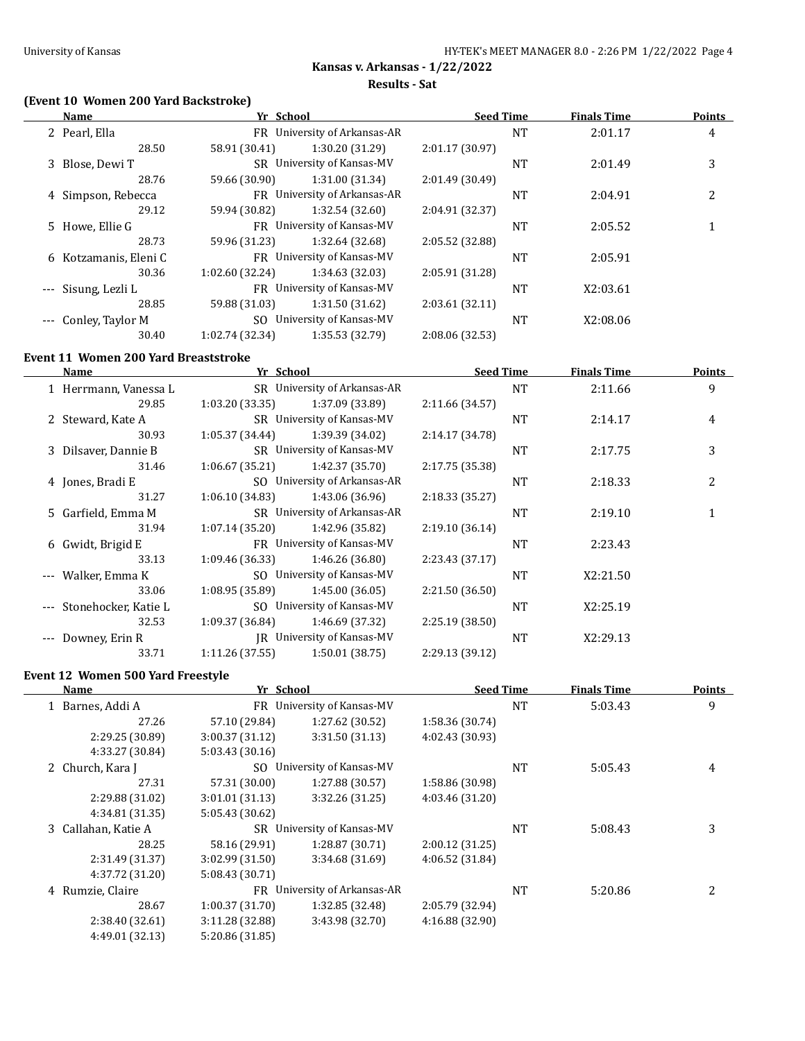**Results - Sat**

### **(Event 10 Women 200 Yard Backstroke)**

| Name             |                                                                                                             |                 |                                                                                                                                                                                                                              |           | <b>Finals Time</b> | <b>Points</b> |
|------------------|-------------------------------------------------------------------------------------------------------------|-----------------|------------------------------------------------------------------------------------------------------------------------------------------------------------------------------------------------------------------------------|-----------|--------------------|---------------|
|                  |                                                                                                             |                 |                                                                                                                                                                                                                              | <b>NT</b> | 2:01.17            | 4             |
| 28.50            | 58.91 (30.41)                                                                                               | 1:30.20 (31.29) | 2:01.17 (30.97)                                                                                                                                                                                                              |           |                    |               |
|                  |                                                                                                             |                 |                                                                                                                                                                                                                              | NT        | 2:01.49            | 3             |
| 28.76            | 59.66 (30.90)                                                                                               | 1:31.00 (31.34) | 2:01.49 (30.49)                                                                                                                                                                                                              |           |                    |               |
|                  |                                                                                                             |                 |                                                                                                                                                                                                                              | NT        | 2:04.91            | 2             |
| 29.12            | 59.94 (30.82)                                                                                               | 1:32.54 (32.60) | 2:04.91 (32.37)                                                                                                                                                                                                              |           |                    |               |
|                  |                                                                                                             |                 |                                                                                                                                                                                                                              | NT        | 2:05.52            |               |
| 28.73            | 59.96 (31.23)                                                                                               | 1:32.64 (32.68) | 2:05.52 (32.88)                                                                                                                                                                                                              |           |                    |               |
|                  |                                                                                                             |                 |                                                                                                                                                                                                                              | NT        | 2:05.91            |               |
| 30.36            | 1:02.60(32.24)                                                                                              | 1:34.63 (32.03) | 2:05.91 (31.28)                                                                                                                                                                                                              |           |                    |               |
| Sisung, Lezli L  |                                                                                                             |                 |                                                                                                                                                                                                                              | <b>NT</b> | X2:03.61           |               |
| 28.85            | 59.88 (31.03)                                                                                               | 1:31.50(31.62)  | 2:03.61(32.11)                                                                                                                                                                                                               |           |                    |               |
| Conley, Taylor M | SO.                                                                                                         |                 |                                                                                                                                                                                                                              | NT        | X2:08.06           |               |
| 30.40            | 1:02.74 (32.34)                                                                                             | 1:35.53 (32.79) | 2:08.06 (32.53)                                                                                                                                                                                                              |           |                    |               |
|                  | 2 Pearl, Ella<br>3 Blose, Dewi T<br>4 Simpson, Rebecca<br>5 Howe, Ellie G<br>6 Kotzamanis, Eleni C<br>$---$ |                 | Yr School<br>FR University of Arkansas-AR<br>SR University of Kansas-MV<br>FR University of Arkansas-AR<br>FR University of Kansas-MV<br>FR University of Kansas-MV<br>FR University of Kansas-MV<br>University of Kansas-MV |           | <b>Seed Time</b>   |               |

#### **Event 11 Women 200 Yard Breaststroke**

|   | Name                     | Yr School       |                              | <b>Seed Time</b> |           | <b>Finals Time</b> | <b>Points</b> |
|---|--------------------------|-----------------|------------------------------|------------------|-----------|--------------------|---------------|
|   | 1 Herrmann, Vanessa L    |                 | SR University of Arkansas-AR |                  | <b>NT</b> | 2:11.66            | 9             |
|   | 29.85                    | 1:03.20(33.35)  | 1:37.09 (33.89)              | 2:11.66 (34.57)  |           |                    |               |
|   | 2 Steward, Kate A        |                 | SR University of Kansas-MV   |                  | <b>NT</b> | 2:14.17            | 4             |
|   | 30.93                    | 1:05.37 (34.44) | 1:39.39 (34.02)              | 2:14.17 (34.78)  |           |                    |               |
|   | 3 Dilsaver, Dannie B     |                 | SR University of Kansas-MV   |                  | <b>NT</b> | 2:17.75            | 3             |
|   | 31.46                    | 1:06.67(35.21)  | 1:42.37 (35.70)              | 2:17.75 (35.38)  |           |                    |               |
|   | 4 Jones, Bradi E         |                 | SO University of Arkansas-AR |                  | <b>NT</b> | 2:18.33            | 2             |
|   | 31.27                    | 1:06.10 (34.83) | 1:43.06 (36.96)              | 2:18.33 (35.27)  |           |                    |               |
|   | 5 Garfield, Emma M       |                 | SR University of Arkansas-AR |                  | <b>NT</b> | 2:19.10            |               |
|   | 31.94                    | 1:07.14(35.20)  | 1:42.96 (35.82)              | 2:19.10(36.14)   |           |                    |               |
| 6 | Gwidt, Brigid E          | FR -            | University of Kansas-MV      |                  | <b>NT</b> | 2:23.43            |               |
|   | 33.13                    | 1:09.46 (36.33) | 1:46.26 (36.80)              | 2:23.43 (37.17)  |           |                    |               |
|   | Walker, Emma K           | SO.             | University of Kansas-MV      |                  | <b>NT</b> | X2:21.50           |               |
|   | 33.06                    | 1:08.95 (35.89) | 1:45.00(36.05)               | 2:21.50 (36.50)  |           |                    |               |
|   | --- Stonehocker, Katie L | SO.             | University of Kansas-MV      |                  | <b>NT</b> | X2:25.19           |               |
|   | 32.53                    | 1:09.37 (36.84) | 1:46.69 (37.32)              | 2:25.19 (38.50)  |           |                    |               |
|   | Downey, Erin R           |                 | JR University of Kansas-MV   |                  | <b>NT</b> | X2:29.13           |               |
|   | 33.71                    | 1:11.26(37.55)  | 1:50.01(38.75)               | 2:29.13 (39.12)  |           |                    |               |
|   |                          |                 |                              |                  |           |                    |               |

#### **Event 12 Women 500 Yard Freestyle**

|   | Name                | Yr School       |                              | <b>Seed Time</b> |           | <b>Finals Time</b> | <b>Points</b> |
|---|---------------------|-----------------|------------------------------|------------------|-----------|--------------------|---------------|
|   | 1 Barnes, Addi A    | FR.             | University of Kansas-MV      |                  | <b>NT</b> | 5:03.43            | 9             |
|   | 27.26               | 57.10 (29.84)   | 1:27.62 (30.52)              | 1:58.36 (30.74)  |           |                    |               |
|   | 2:29.25 (30.89)     | 3:00.37(31.12)  | 3:31.50(31.13)               | 4:02.43 (30.93)  |           |                    |               |
|   | 4:33.27 (30.84)     | 5:03.43 (30.16) |                              |                  |           |                    |               |
|   | 2 Church, Kara J    | SO.             | University of Kansas-MV      |                  | <b>NT</b> | 5:05.43            | 4             |
|   | 27.31               | 57.31 (30.00)   | 1:27.88(30.57)               | 1:58.86 (30.98)  |           |                    |               |
|   | 2:29.88 (31.02)     | 3:01.01(31.13)  | 3:32.26 (31.25)              | 4:03.46 (31.20)  |           |                    |               |
|   | 4:34.81 (31.35)     | 5:05.43 (30.62) |                              |                  |           |                    |               |
|   | 3 Callahan, Katie A | SR.             | University of Kansas-MV      |                  | <b>NT</b> | 5:08.43            | 3             |
|   | 28.25               | 58.16 (29.91)   | 1:28.87 (30.71)              | 2:00.12 (31.25)  |           |                    |               |
|   | 2:31.49 (31.37)     | 3:02.99(31.50)  | 3:34.68(31.69)               | 4:06.52 (31.84)  |           |                    |               |
|   | 4:37.72 (31.20)     | 5:08.43 (30.71) |                              |                  |           |                    |               |
| 4 | Rumzie, Claire      |                 | FR University of Arkansas-AR |                  | <b>NT</b> | 5:20.86            |               |
|   | 28.67               | 1:00.37(31.70)  | 1:32.85 (32.48)              | 2:05.79 (32.94)  |           |                    |               |
|   | 2:38.40 (32.61)     | 3:11.28 (32.88) | 3:43.98 (32.70)              | 4:16.88 (32.90)  |           |                    |               |
|   | 4:49.01 (32.13)     | 5:20.86 (31.85) |                              |                  |           |                    |               |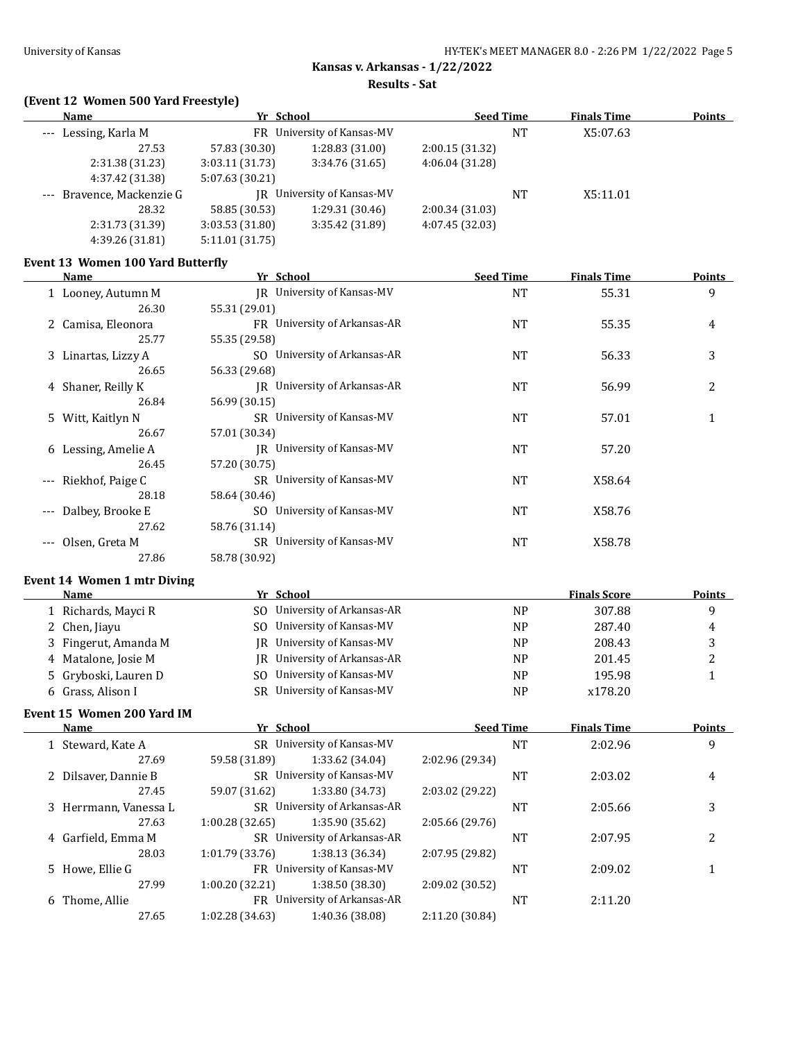**Results - Sat**

### **(Event 12 Women 500 Yard Freestyle)**

| Name                      | Yr School       |                            | <b>Seed Time</b> |                | <b>Finals Time</b> | <b>Points</b> |
|---------------------------|-----------------|----------------------------|------------------|----------------|--------------------|---------------|
| --- Lessing, Karla M      |                 | FR University of Kansas-MV |                  | NT<br>X5:07.63 |                    |               |
| 27.53                     | 57.83 (30.30)   | 1:28.83 (31.00)            | 2:00.15(31.32)   |                |                    |               |
| 2:31.38 (31.23)           | 3:03.11(31.73)  | 3:34.76(31.65)             | 4:06.04(31.28)   |                |                    |               |
| 4:37.42 (31.38)           | 5:07.63 (30.21) |                            |                  |                |                    |               |
| --- Bravence, Mackenzie G |                 | IR University of Kansas-MV |                  | NT             | X5:11.01           |               |
| 28.32                     | 58.85 (30.53)   | 1:29.31 (30.46)            | 2:00.34(31.03)   |                |                    |               |
| 2:31.73 (31.39)           | 3:03.53(31.80)  | 3:35.42 (31.89)            | 4:07.45 (32.03)  |                |                    |               |
| 4:39.26 (31.81)           | 5:11.01 (31.75) |                            |                  |                |                    |               |

# **Event 13 Women 100 Yard Butterfly**

|                     | Name                 | Yr School                         | <b>Seed Time</b> | <b>Finals Time</b> | Points         |
|---------------------|----------------------|-----------------------------------|------------------|--------------------|----------------|
|                     | 1 Looney, Autumn M   | IR University of Kansas-MV        | <b>NT</b>        | 55.31              | 9              |
|                     | 26.30                | 55.31 (29.01)                     |                  |                    |                |
|                     | 2 Camisa, Eleonora   | FR University of Arkansas-AR      | <b>NT</b>        | 55.35              | 4              |
|                     | 25.77                | 55.35 (29.58)                     |                  |                    |                |
|                     | 3 Linartas, Lizzy A  | SO University of Arkansas-AR      | <b>NT</b>        | 56.33              | 3              |
|                     | 26.65                | 56.33 (29.68)                     |                  |                    |                |
|                     | 4 Shaner, Reilly K   | IR University of Arkansas-AR      | NT               | 56.99              | $\overline{2}$ |
|                     | 26.84                | 56.99 (30.15)                     |                  |                    |                |
|                     | 5 Witt, Kaitlyn N    | SR University of Kansas-MV        | <b>NT</b>        | 57.01              | 1              |
|                     | 26.67                | 57.01 (30.34)                     |                  |                    |                |
|                     | 6 Lessing, Amelie A  | <b>IR</b> University of Kansas-MV | <b>NT</b>        | 57.20              |                |
|                     | 26.45                | 57.20 (30.75)                     |                  |                    |                |
|                     | --- Riekhof, Paige C | SR University of Kansas-MV        | <b>NT</b>        | X58.64             |                |
|                     | 28.18                | 58.64 (30.46)                     |                  |                    |                |
| $\qquad \qquad - -$ | Dalbey, Brooke E     | SO University of Kansas-MV        | NT               | X58.76             |                |
|                     | 27.62                | 58.76 (31.14)                     |                  |                    |                |
| $---$               | Olsen, Greta M       | SR University of Kansas-MV        | <b>NT</b>        | X58.78             |                |
|                     | 27.86                | 58.78 (30.92)                     |                  |                    |                |

### **Event 14 Women 1 mtr Diving**

| Name                 | Yr School                    |           | <b>Finals Score</b> | <b>Points</b> |
|----------------------|------------------------------|-----------|---------------------|---------------|
| 1 Richards, Mayci R  | SO University of Arkansas-AR | <b>NP</b> | 307.88              |               |
| 2 Chen, Jiayu        | SO University of Kansas-MV   | <b>NP</b> | 287.40              | 4             |
| 3 Fingerut, Amanda M | IR University of Kansas-MV   | NP        | 208.43              |               |
| 4 Matalone, Josie M  | IR University of Arkansas-AR | <b>NP</b> | 201.45              | ▵             |
| 5 Gryboski, Lauren D | SO University of Kansas-MV   | <b>NP</b> | 195.98              |               |
| 6 Grass, Alison I    | SR University of Kansas-MV   | NP        | x178.20             |               |

#### **Event 15 Women 200 Yard IM**

|                   | Yr School<br><b>Name</b>                          |                                | <b>Seed Time</b>           |                 | <b>Finals Time</b> | <b>Points</b> |   |
|-------------------|---------------------------------------------------|--------------------------------|----------------------------|-----------------|--------------------|---------------|---|
| 1 Steward, Kate A |                                                   | University of Kansas-MV<br>SR. |                            |                 | NT                 | 2:02.96       | 9 |
|                   | 27.69                                             | 59.58 (31.89)                  | 1:33.62 (34.04)            | 2:02.96 (29.34) |                    |               |   |
|                   | 2 Dilsaver, Dannie B                              |                                | SR University of Kansas-MV |                 | NT                 | 2:03.02       | 4 |
|                   | 27.45                                             | 59.07 (31.62)                  | 1:33.80 (34.73)            | 2:03.02 (29.22) |                    |               |   |
|                   | 3 Herrmann, Vanessa L                             | SR University of Arkansas-AR   |                            |                 | NT                 | 2:05.66       | 3 |
|                   | 27.63                                             | 1:00.28(32.65)                 | 1:35.90 (35.62)            | 2:05.66(29.76)  |                    |               |   |
|                   | 4 Garfield, Emma M                                | SR University of Arkansas-AR   |                            |                 | NT                 | 2:07.95       | 2 |
|                   | 28.03                                             | 1:01.79(33.76)                 | 1:38.13 (36.34)            | 2:07.95 (29.82) |                    |               |   |
|                   | 5 Howe, Ellie G                                   | FR University of Kansas-MV     |                            |                 | NT                 | 2:09.02       |   |
|                   | 27.99                                             | 1:00.20 (32.21)                | 1:38.50 (38.30)            | 2:09.02 (30.52) |                    |               |   |
|                   | University of Arkansas-AR<br>6 Thome, Allie<br>FR |                                |                            | NT              | 2:11.20            |               |   |
|                   | 27.65                                             | 1:02.28 (34.63)                | 1:40.36 (38.08)            | 2:11.20 (30.84) |                    |               |   |